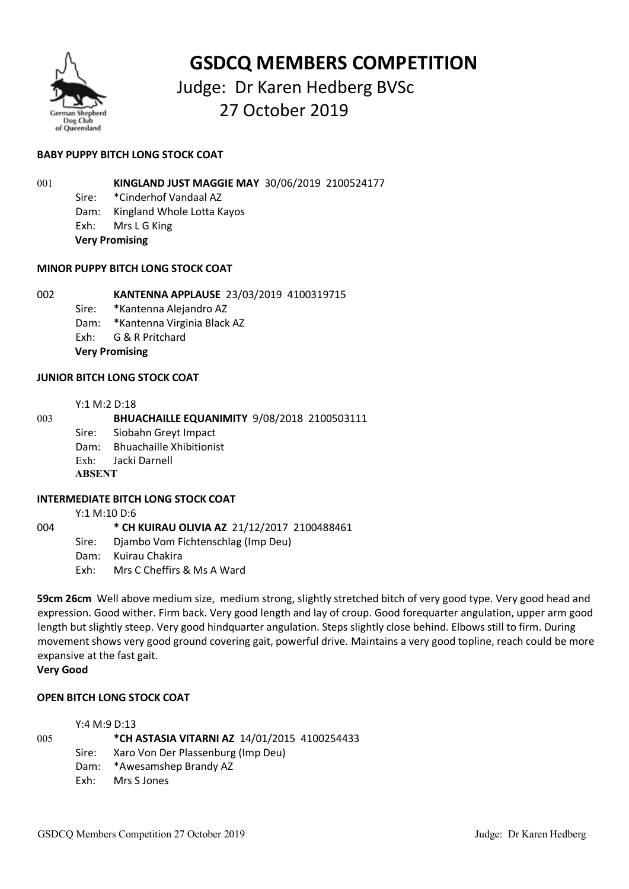

# **GSDCQ MEMBERS COMPETITION**

# Judge: Dr Karen Hedberg BVSc 27 October 2019

# **BABY PUPPY BITCH LONG STOCK COAT**

001 **KINGLAND JUST MAGGIE MAY** 30/06/2019 2100524177

- Sire: \*Cinderhof Vandaal AZ
- Dam: Kingland Whole Lotta Kayos
- Exh: Mrs L G King
- **Very Promising**

# **MINOR PUPPY BITCH LONG STOCK COAT**

# 002 **KANTENNA APPLAUSE** 23/03/2019 4100319715

- Sire: \*Kantenna Alejandro AZ
- Dam: \*Kantenna Virginia Black AZ
- Exh: G & R Pritchard
- **Very Promising**

# **JUNIOR BITCH LONG STOCK COAT**

#### Y:1 M:2 D:18

# 003 **BHUACHAILLE EQUANIMITY** 9/08/2018 2100503111

- Sire: Siobahn Greyt Impact
- Dam: Bhuachaille Xhibitionist
- Exh: Jacki Darnell

# **ABSENT**

# **INTERMEDIATE BITCH LONG STOCK COAT**

Y:1 M:10 D:6

004 **\* CH KUIRAU OLIVIA AZ** 21/12/2017 2100488461 Sire: Djambo Vom Fichtenschlag (Imp Deu) Dam: Kuirau Chakira Exh: Mrs C Cheffirs & Ms A Ward

**59cm 26cm** Well above medium size, medium strong, slightly stretched bitch of very good type. Very good head and expression. Good wither. Firm back. Very good length and lay of croup. Good forequarter angulation, upper arm good length but slightly steep. Very good hindquarter angulation. Steps slightly close behind. Elbows still to firm. During movement shows very good ground covering gait, powerful drive. Maintains a very good topline, reach could be more expansive at the fast gait.

# **Very Good**

# **OPEN BITCH LONG STOCK COAT**

Y:4 M:9 D:13

005 **\*CH ASTASIA VITARNI AZ** 14/01/2015 4100254433

- Sire: Xaro Von Der Plassenburg (Imp Deu)
- Dam: \*Awesamshep Brandy AZ
- Exh: Mrs S Jones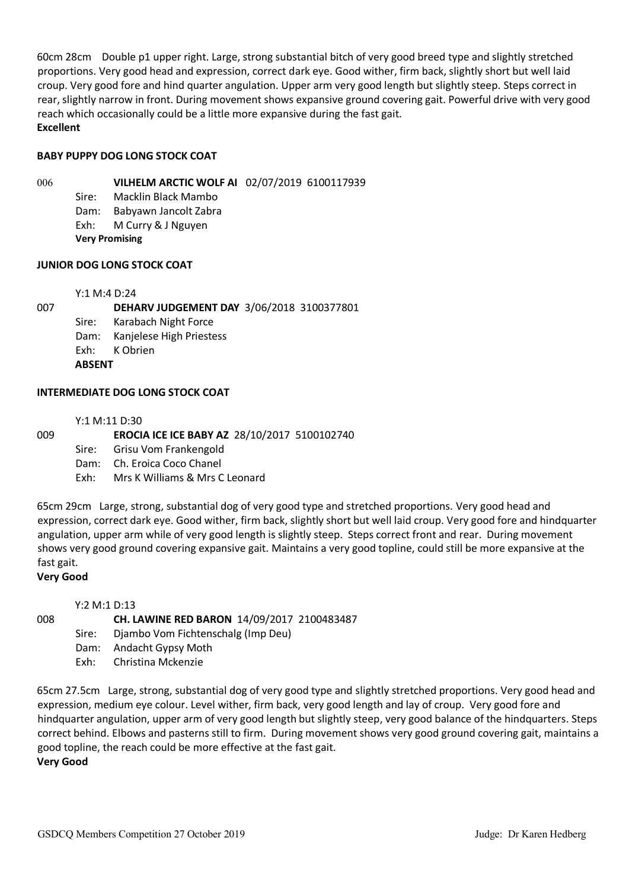60cm 28cm Double p1 upper right. Large, strong substantial bitch of very good breed type and slightly stretched proportions. Very good head and expression, correct dark eye. Good wither, firm back, slightly short but well laid croup. Very good fore and hind quarter angulation. Upper arm very good length but slightly steep. Steps correct in rear, slightly narrow in front. During movement shows expansive ground covering gait. Powerful drive with very good reach which occasionally could be a little more expansive during the fast gait. **Excellent**

#### **BABY PUPPY DOG LONG STOCK COAT**

006 **VILHELM ARCTIC WOLF AI** 02/07/2019 6100117939

Sire: Macklin Black Mambo

Dam: Babyawn Jancolt Zabra Exh: M Curry & J Nguyen

**Very Promising**

#### **JUNIOR DOG LONG STOCK COAT**

Y:1 M:4 D:24

007 **DEHARV JUDGEMENT DAY** 3/06/2018 3100377801 Sire: Karabach Night Force Dam: Kanjelese High Priestess Exh: K Obrien **ABSENT**

# **INTERMEDIATE DOG LONG STOCK COAT**

Y:1 M:11 D:30

# 009 **EROCIA ICE ICE BABY AZ** 28/10/2017 5100102740

- Sire: Grisu Vom Frankengold
- Dam: Ch. Eroica Coco Chanel
- Exh: Mrs K Williams & Mrs C Leonard

65cm 29cm Large, strong, substantial dog of very good type and stretched proportions. Very good head and expression, correct dark eye. Good wither, firm back, slightly short but well laid croup. Very good fore and hindquarter angulation, upper arm while of very good length is slightly steep. Steps correct front and rear. During movement shows very good ground covering expansive gait. Maintains a very good topline, could still be more expansive at the fast gait.

#### **Very Good**

Y:2 M:1 D:13

# 008 **CH. LAWINE RED BARON** 14/09/2017 2100483487

- Sire: Djambo Vom Fichtenschalg (Imp Deu)
- Dam: Andacht Gypsy Moth
- Exh: Christina Mckenzie

65cm 27.5cm Large, strong, substantial dog of very good type and slightly stretched proportions. Very good head and expression, medium eye colour. Level wither, firm back, very good length and lay of croup. Very good fore and hindquarter angulation, upper arm of very good length but slightly steep, very good balance of the hindquarters. Steps correct behind. Elbows and pasterns still to firm. During movement shows very good ground covering gait, maintains a good topline, the reach could be more effective at the fast gait. **Very Good**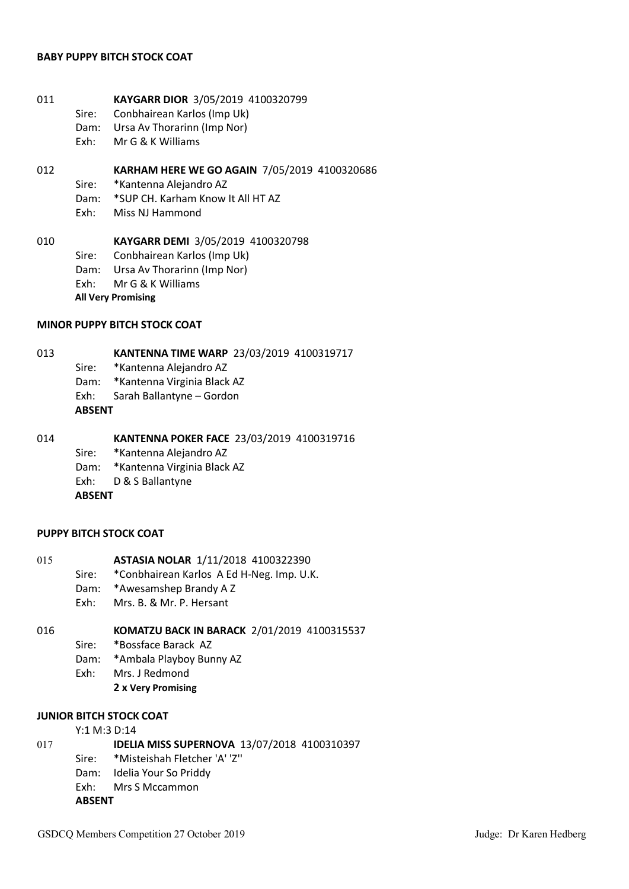#### **BABY PUPPY BITCH STOCK COAT**

- 011 **KAYGARR DIOR** 3/05/2019 4100320799
	- Sire: Conbhairean Karlos (Imp Uk)
	- Dam: Ursa Av Thorarinn (Imp Nor)
	- Exh: Mr G & K Williams

# 012 **KARHAM HERE WE GO AGAIN** 7/05/2019 4100320686

- Sire: \*Kantenna Alejandro AZ
- Dam: \*SUP CH. Karham Know It All HT AZ
- Exh: Miss NJ Hammond

# 010 **KAYGARR DEMI** 3/05/2019 4100320798 Sire: Conbhairean Karlos (Imp Uk) Dam: Ursa Av Thorarinn (Imp Nor)

- Exh: Mr G & K Williams
- **All Very Promising**

# **MINOR PUPPY BITCH STOCK COAT**

#### 013 **KANTENNA TIME WARP** 23/03/2019 4100319717

- Sire: \*Kantenna Alejandro AZ
- Dam: \*Kantenna Virginia Black AZ
- Exh: Sarah Ballantyne Gordon

#### **ABSENT**

#### 014 **KANTENNA POKER FACE** 23/03/2019 4100319716

- Sire: \*Kantenna Alejandro AZ
- Dam: \*Kantenna Virginia Black AZ
- Exh: D & S Ballantyne

**ABSENT**

# **PUPPY BITCH STOCK COAT**

- 015 **ASTASIA NOLAR** 1/11/2018 4100322390
	- Sire: \*Conbhairean Karlos A Ed H-Neg. Imp. U.K.
	- Dam: \*Awesamshep Brandy A Z
	- Exh: Mrs. B. & Mr. P. Hersant

# 016 **KOMATZU BACK IN BARACK** 2/01/2019 4100315537

- Sire: \*Bossface Barack AZ
- Dam: \*Ambala Playboy Bunny AZ
- Exh: Mrs. J Redmond
	- **2 x Very Promising**

# **JUNIOR BITCH STOCK COAT**

#### Y:1 M:3 D:14

- 017 **IDELIA MISS SUPERNOVA** 13/07/2018 4100310397
	- Sire: \*Misteishah Fletcher 'A' 'Z''
	- Dam: Idelia Your So Priddy
	- Exh: Mrs S Mccammon

# **ABSENT**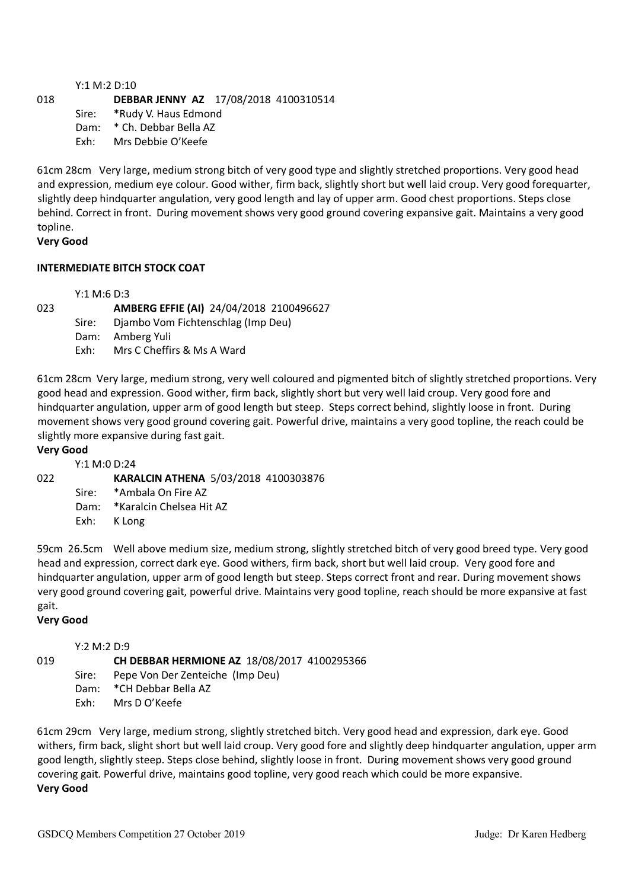#### Y:1 M:2 D:10 018 **DEBBAR JENNY AZ** 17/08/2018 4100310514 Sire: \*Rudy V. Haus Edmond

Dam: \* Ch. Debbar Bella AZ Exh: Mrs Debbie O'Keefe

61cm 28cm Very large, medium strong bitch of very good type and slightly stretched proportions. Very good head and expression, medium eye colour. Good wither, firm back, slightly short but well laid croup. Very good forequarter, slightly deep hindquarter angulation, very good length and lay of upper arm. Good chest proportions. Steps close behind. Correct in front. During movement shows very good ground covering expansive gait. Maintains a very good topline.

# **Very Good**

# **INTERMEDIATE BITCH STOCK COAT**

Y:1 M:6 D:3

023 **AMBERG EFFIE (AI)** 24/04/2018 2100496627 Sire: Djambo Vom Fichtenschlag (Imp Deu) Dam: Amberg Yuli Exh: Mrs C Cheffirs & Ms A Ward

61cm 28cm Very large, medium strong, very well coloured and pigmented bitch of slightly stretched proportions. Very good head and expression. Good wither, firm back, slightly short but very well laid croup. Very good fore and hindquarter angulation, upper arm of good length but steep. Steps correct behind, slightly loose in front. During movement shows very good ground covering gait. Powerful drive, maintains a very good topline, the reach could be slightly more expansive during fast gait.

# **Very Good**

Y:1 M:0 D:24

022 **KARALCIN ATHENA** 5/03/2018 4100303876

Sire: \*Ambala On Fire AZ

Dam: \*Karalcin Chelsea Hit AZ

Exh: K Long

59cm 26.5cm Well above medium size, medium strong, slightly stretched bitch of very good breed type. Very good head and expression, correct dark eye. Good withers, firm back, short but well laid croup. Very good fore and hindquarter angulation, upper arm of good length but steep. Steps correct front and rear. During movement shows very good ground covering gait, powerful drive. Maintains very good topline, reach should be more expansive at fast gait.

# **Very Good**

Y:2 M:2 D:9

019 **CH DEBBAR HERMIONE AZ** 18/08/2017 4100295366

Sire: Pepe Von Der Zenteiche (Imp Deu)

Dam: \*CH Debbar Bella AZ

Exh: Mrs D O'Keefe

61cm 29cm Very large, medium strong, slightly stretched bitch. Very good head and expression, dark eye. Good withers, firm back, slight short but well laid croup. Very good fore and slightly deep hindquarter angulation, upper arm good length, slightly steep. Steps close behind, slightly loose in front. During movement shows very good ground covering gait. Powerful drive, maintains good topline, very good reach which could be more expansive. **Very Good**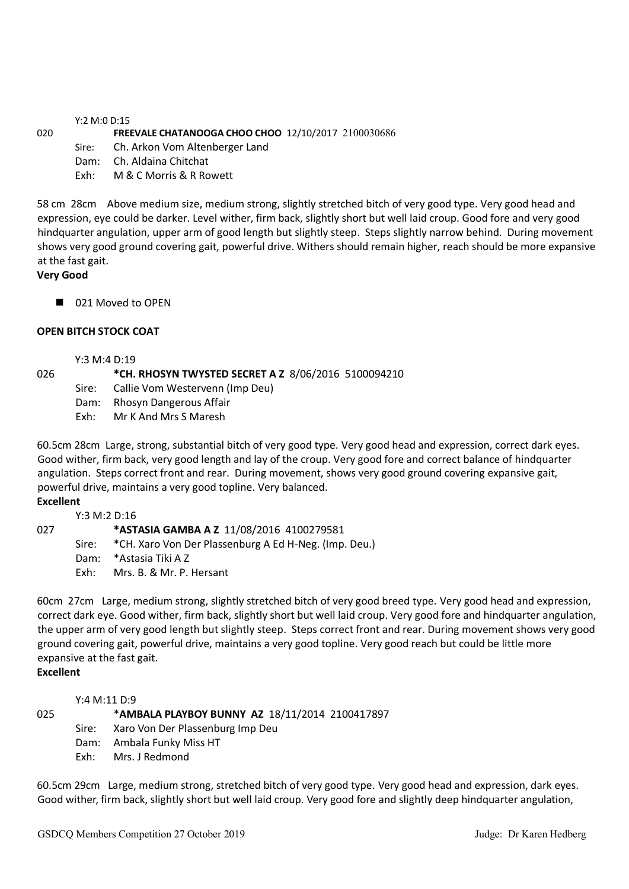Y:2 M:0 D:15

020 **FREEVALE CHATANOOGA CHOO CHOO** 12/10/2017 2100030686

Sire: Ch. Arkon Vom Altenberger Land

Dam: Ch. Aldaina Chitchat

Exh: M & C Morris & R Rowett

58 cm 28cm Above medium size, medium strong, slightly stretched bitch of very good type. Very good head and expression, eye could be darker. Level wither, firm back, slightly short but well laid croup. Good fore and very good hindquarter angulation, upper arm of good length but slightly steep. Steps slightly narrow behind. During movement shows very good ground covering gait, powerful drive. Withers should remain higher, reach should be more expansive at the fast gait.

#### **Very Good**

■ 021 Moved to OPEN

#### **OPEN BITCH STOCK COAT**

Y:3 M:4 D:19

026 **\*CH. RHOSYN TWYSTED SECRET A Z** 8/06/2016 5100094210

- Sire: Callie Vom Westervenn (Imp Deu)
- Dam: Rhosyn Dangerous Affair
- Exh: Mr K And Mrs S Maresh

60.5cm 28cm Large, strong, substantial bitch of very good type. Very good head and expression, correct dark eyes. Good wither, firm back, very good length and lay of the croup. Very good fore and correct balance of hindquarter angulation. Steps correct front and rear. During movement, shows very good ground covering expansive gait, powerful drive, maintains a very good topline. Very balanced.

#### **Excellent**

| Y:3 M:2 D:16 |                                                              |
|--------------|--------------------------------------------------------------|
|              | *ASTASIA GAMBA A Z 11/08/2016 4100279581                     |
|              | Sire: * CH. Xaro Von Der Plassenburg A Ed H-Neg. (Imp. Deu.) |
|              | Dam: *Astasia Tiki A Z                                       |
| Fxh:         | Mrs. B. & Mr. P. Hersant                                     |
|              |                                                              |

60cm 27cm Large, medium strong, slightly stretched bitch of very good breed type. Very good head and expression, correct dark eye. Good wither, firm back, slightly short but well laid croup. Very good fore and hindquarter angulation, the upper arm of very good length but slightly steep. Steps correct front and rear. During movement shows very good ground covering gait, powerful drive, maintains a very good topline. Very good reach but could be little more expansive at the fast gait.

# **Excellent**

Y:4 M:11 D:9

025 \***AMBALA PLAYBOY BUNNY AZ** 18/11/2014 2100417897

- Sire: Xaro Von Der Plassenburg Imp Deu
- Dam: Ambala Funky Miss HT
- Exh: Mrs. J Redmond

60.5cm 29cm Large, medium strong, stretched bitch of very good type. Very good head and expression, dark eyes. Good wither, firm back, slightly short but well laid croup. Very good fore and slightly deep hindquarter angulation,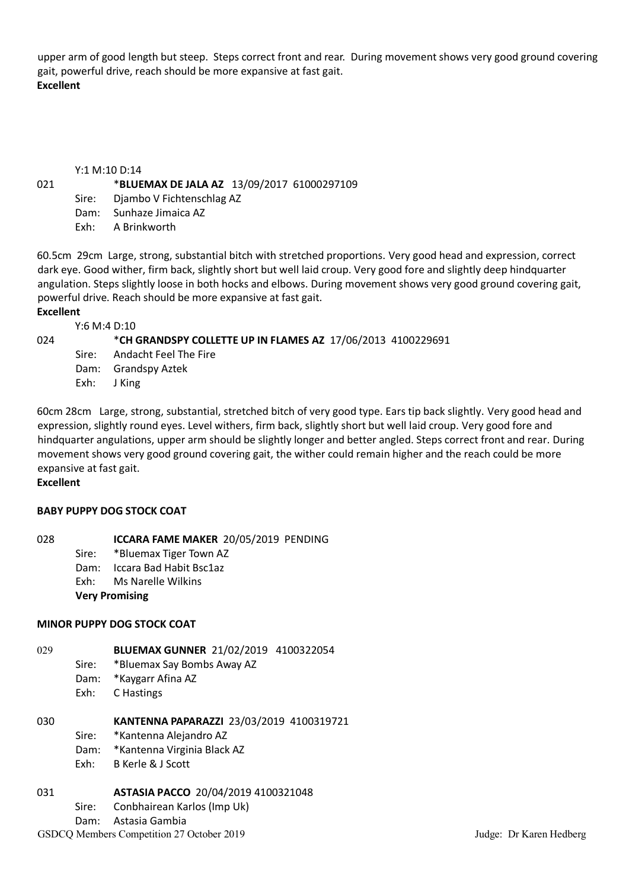upper arm of good length but steep. Steps correct front and rear. During movement shows very good ground covering gait, powerful drive, reach should be more expansive at fast gait. **Excellent**

#### Y:1 M:10 D:14

#### 021 \***BLUEMAX DE JALA AZ** 13/09/2017 61000297109

- Sire: Djambo V Fichtenschlag AZ
- Dam: Sunhaze Jimaica AZ
- Exh: A Brinkworth

60.5cm 29cm Large, strong, substantial bitch with stretched proportions. Very good head and expression, correct dark eye. Good wither, firm back, slightly short but well laid croup. Very good fore and slightly deep hindquarter angulation. Steps slightly loose in both hocks and elbows. During movement shows very good ground covering gait, powerful drive. Reach should be more expansive at fast gait.

#### **Excellent**

Y:6 M:4 D:10

024 \***CH GRANDSPY COLLETTE UP IN FLAMES AZ** 17/06/2013 4100229691

- Sire: Andacht Feel The Fire
- Dam: Grandspy Aztek
- Exh: J King

60cm 28cm Large, strong, substantial, stretched bitch of very good type. Ears tip back slightly. Very good head and expression, slightly round eyes. Level withers, firm back, slightly short but well laid croup. Very good fore and hindquarter angulations, upper arm should be slightly longer and better angled. Steps correct front and rear. During movement shows very good ground covering gait, the wither could remain higher and the reach could be more expansive at fast gait.

#### **Excellent**

#### **BABY PUPPY DOG STOCK COAT**

028 **ICCARA FAME MAKER** 20/05/2019 PENDING

- Sire: \*Bluemax Tiger Town AZ
- Dam: Iccara Bad Habit Bsc1az
- Exh: Ms Narelle Wilkins
- **Very Promising**

# **MINOR PUPPY DOG STOCK COAT**

- 029 **BLUEMAX GUNNER** 21/02/2019 4100322054
	- Sire: \*Bluemax Say Bombs Away AZ
		- Dam: \*Kaygarr Afina AZ
		- Exh: C Hastings

030 **KANTENNA PAPARAZZI** 23/03/2019 4100319721

- Sire: \*Kantenna Alejandro AZ
	- Dam: \*Kantenna Virginia Black AZ
	- Exh: B Kerle & J Scott

# 031 **ASTASIA PACCO** 20/04/2019 4100321048

- Sire: Conbhairean Karlos (Imp Uk)
- Dam: Astasia Gambia

#### GSDCQ Members Competition 27 October 2019 **Judge: Dr Karen Hedberg** Judge: Dr Karen Hedberg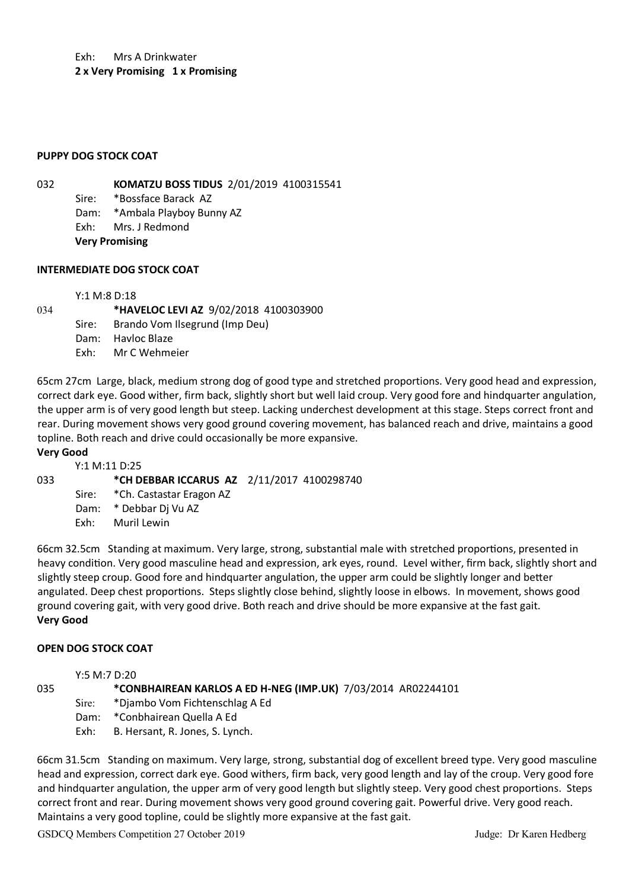Exh: Mrs A Drinkwater **2 x Very Promising 1 x Promising**

#### **PUPPY DOG STOCK COAT**

032 **KOMATZU BOSS TIDUS** 2/01/2019 4100315541

Sire: \*Bossface Barack AZ

Dam: \*Ambala Playboy Bunny AZ

Exh: Mrs. J Redmond

**Very Promising**

#### **INTERMEDIATE DOG STOCK COAT**

Y:1 M:8 D:18

034 **\*HAVELOC LEVI AZ** 9/02/2018 4100303900 Sire: Brando Vom Ilsegrund (Imp Deu) Dam: Havloc Blaze Exh: Mr C Wehmeier

65cm 27cm Large, black, medium strong dog of good type and stretched proportions. Very good head and expression, correct dark eye. Good wither, firm back, slightly short but well laid croup. Very good fore and hindquarter angulation, the upper arm is of very good length but steep. Lacking underchest development at this stage. Steps correct front and rear. During movement shows very good ground covering movement, has balanced reach and drive, maintains a good topline. Both reach and drive could occasionally be more expansive.

#### **Very Good**

# Y:1 M:11 D:25 033 **\*CH DEBBAR ICCARUS AZ** 2/11/2017 4100298740 Sire: \*Ch. Castastar Eragon AZ Dam: \* Debbar Dj Vu AZ Exh: Muril Lewin

66cm 32.5cm Standing at maximum. Very large, strong, substantial male with stretched proportions, presented in heavy condition. Very good masculine head and expression, ark eyes, round. Level wither, firm back, slightly short and slightly steep croup. Good fore and hindquarter angulation, the upper arm could be slightly longer and better angulated. Deep chest proportions. Steps slightly close behind, slightly loose in elbows. In movement, shows good ground covering gait, with very good drive. Both reach and drive should be more expansive at the fast gait. **Very Good**

# **OPEN DOG STOCK COAT**

Y:5 M:7 D:20

035 **\*CONBHAIREAN KARLOS A ED H-NEG (IMP.UK)** 7/03/2014 AR02244101

- Sire: \*Djambo Vom Fichtenschlag A Ed
- Dam: \*Conbhairean Quella A Ed
- Exh: B. Hersant, R. Jones, S. Lynch.

66cm 31.5cm Standing on maximum. Very large, strong, substantial dog of excellent breed type. Very good masculine head and expression, correct dark eye. Good withers, firm back, very good length and lay of the croup. Very good fore and hindquarter angulation, the upper arm of very good length but slightly steep. Very good chest proportions. Steps correct front and rear. During movement shows very good ground covering gait. Powerful drive. Very good reach. Maintains a very good topline, could be slightly more expansive at the fast gait.

GSDCQ Members Competition 27 October 2019 **Judge: Dr Karen Hedberg** Judge: Dr Karen Hedberg